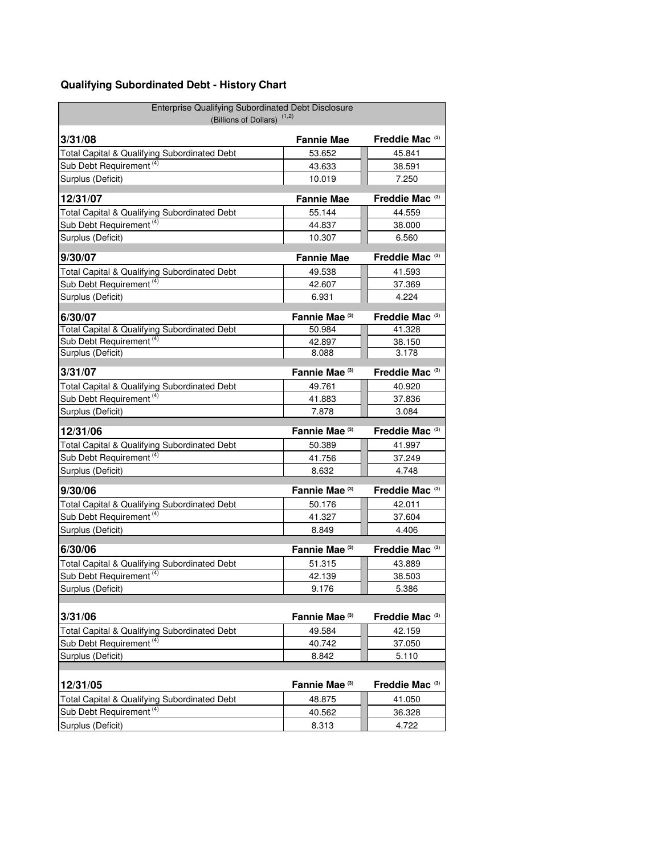## **Qualifying Subordinated Debt - History Chart**

| Enterprise Qualifying Subordinated Debt Disclosure<br>(Billions of Dollars) <sup>(1,2)</sup> |                           |                            |
|----------------------------------------------------------------------------------------------|---------------------------|----------------------------|
| 3/31/08                                                                                      | <b>Fannie Mae</b>         | Freddie Mac <sup>(3)</sup> |
| Total Capital & Qualifying Subordinated Debt                                                 | 53.652                    | 45.841                     |
| Sub Debt Requirement <sup>(4)</sup>                                                          | 43.633                    | 38.591                     |
| Surplus (Deficit)                                                                            | 10.019                    | 7.250                      |
| 12/31/07                                                                                     | <b>Fannie Mae</b>         | Freddie Mac <sup>(3)</sup> |
| Total Capital & Qualifying Subordinated Debt                                                 | 55.144                    | 44.559                     |
| Sub Debt Requirement <sup>(4)</sup>                                                          | 44.837                    | 38.000                     |
| Surplus (Deficit)                                                                            | 10.307                    | 6.560                      |
| 9/30/07                                                                                      | <b>Fannie Mae</b>         | Freddie Mac <sup>(3)</sup> |
| Total Capital & Qualifying Subordinated Debt                                                 | 49.538                    | 41.593                     |
| Sub Debt Requirement <sup>(4)</sup>                                                          | 42.607                    | 37.369                     |
| Surplus (Deficit)                                                                            | 6.931                     | 4.224                      |
| 6/30/07                                                                                      | Fannie Mae (3)            | Freddie Mac <sup>(3)</sup> |
| Total Capital & Qualifying Subordinated Debt                                                 | 50.984                    | 41.328                     |
| Sub Debt Requirement <sup>(4)</sup>                                                          | 42.897                    | 38.150                     |
| Surplus (Deficit)                                                                            | 8.088                     | 3.178                      |
| 3/31/07                                                                                      | Fannie Mae <sup>(3)</sup> | Freddie Mac <sup>(3)</sup> |
| Total Capital & Qualifying Subordinated Debt                                                 | 49.761                    | 40.920                     |
| Sub Debt Requirement <sup>(4)</sup>                                                          | 41.883                    | 37.836                     |
| Surplus (Deficit)                                                                            | 7.878                     | 3.084                      |
| 12/31/06                                                                                     | Fannie Mae <sup>(3)</sup> | Freddie Mac <sup>(3)</sup> |
| Total Capital & Qualifying Subordinated Debt                                                 | 50.389                    | 41.997                     |
| Sub Debt Requirement <sup>(4)</sup>                                                          | 41.756                    | 37.249                     |
| Surplus (Deficit)                                                                            | 8.632                     | 4.748                      |
| 9/30/06                                                                                      | Fannie Mae <sup>(3)</sup> | Freddie Mac <sup>(3)</sup> |
| Total Capital & Qualifying Subordinated Debt                                                 | 50.176                    | 42.011                     |
| Sub Debt Requirement <sup>(4)</sup>                                                          | 41.327                    | 37.604                     |
| Surplus (Deficit)                                                                            | 8.849                     | 4.406                      |
| 6/30/06                                                                                      | Fannie Mae <sup>(3)</sup> | Freddie Mac <sup>(3)</sup> |
| Total Capital & Qualifying Subordinated Debt                                                 | 51.315                    | 43.889                     |
| Sub Debt Requirement <sup>(4)</sup>                                                          | 42.139                    | 38.503                     |
| Surplus (Deficit)                                                                            | 9.176                     | 5.386                      |
| 3/31/06                                                                                      | Fannie Mae (3)            | Freddie Mac <sup>(3)</sup> |
| Total Capital & Qualifying Subordinated Debt                                                 | 49.584                    | 42.159                     |
| Sub Debt Requirement <sup>(4)</sup>                                                          | 40.742                    | 37.050                     |
| Surplus (Deficit)                                                                            | 8.842                     | 5.110                      |
|                                                                                              |                           |                            |
| 12/31/05                                                                                     | Fannie Mae (3)            | Freddie Mac <sup>(3)</sup> |
| Total Capital & Qualifying Subordinated Debt                                                 | 48.875                    | 41.050                     |
| Sub Debt Requirement <sup>(4)</sup>                                                          | 40.562                    | 36.328                     |
| Surplus (Deficit)                                                                            | 8.313                     | 4.722                      |